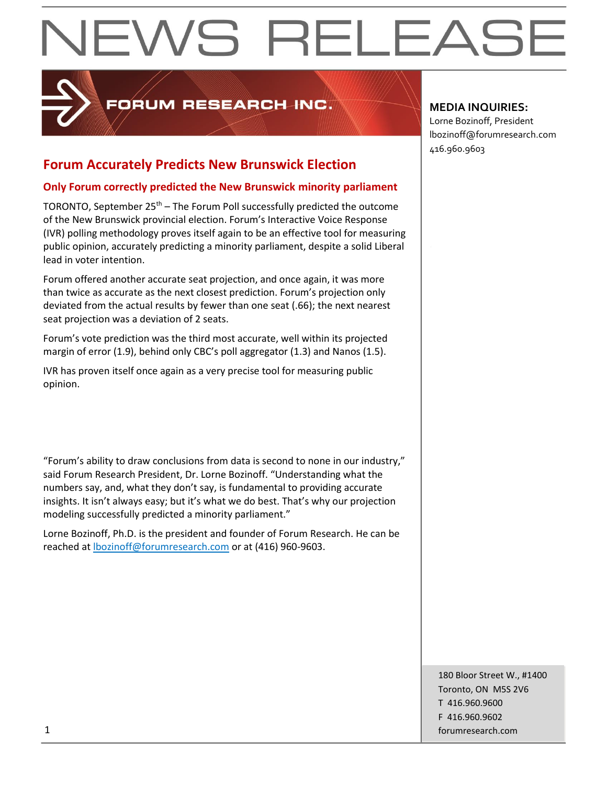# EWS RELEAS

## FORUM RESEARCH INC.

### **Forum Accurately Predicts New Brunswick Election**

#### **Only Forum correctly predicted the New Brunswick minority parliament**

TORONTO, September  $25<sup>th</sup>$  – The Forum Poll successfully predicted the outcome of the New Brunswick provincial election. Forum's Interactive Voice Response (IVR) polling methodology proves itself again to be an effective tool for measuring public opinion, accurately predicting a minority parliament, despite a solid Liberal lead in voter intention.

Forum offered another accurate seat projection, and once again, it was more than twice as accurate as the next closest prediction. Forum's projection only deviated from the actual results by fewer than one seat (.66); the next nearest seat projection was a deviation of 2 seats.

Forum's vote prediction was the third most accurate, well within its projected margin of error (1.9), behind only CBC's poll aggregator (1.3) and Nanos (1.5).

IVR has proven itself once again as a very precise tool for measuring public opinion.

"Forum's ability to draw conclusions from data is second to none in our industry," said Forum Research President, Dr. Lorne Bozinoff. "Understanding what the numbers say, and, what they don't say, is fundamental to providing accurate insights. It isn't always easy; but it's what we do best. That's why our projection modeling successfully predicted a minority parliament."

Lorne Bozinoff, Ph.D. is the president and founder of Forum Research. He can be reached at [lbozinoff@forumresearch.com](mailto:lbozinoff@forumresearch.com) or at (416) 960-9603.

#### **MEDIA INQUIRIES:**

Lorne Bozinoff, President lbozinoff@forumresearch.com 416.960.9603

180 Bloor Street W., #1400 Toronto, ON M5S 2V6 T 416.960.9600 F 416.960.9602 1 forumresearch.com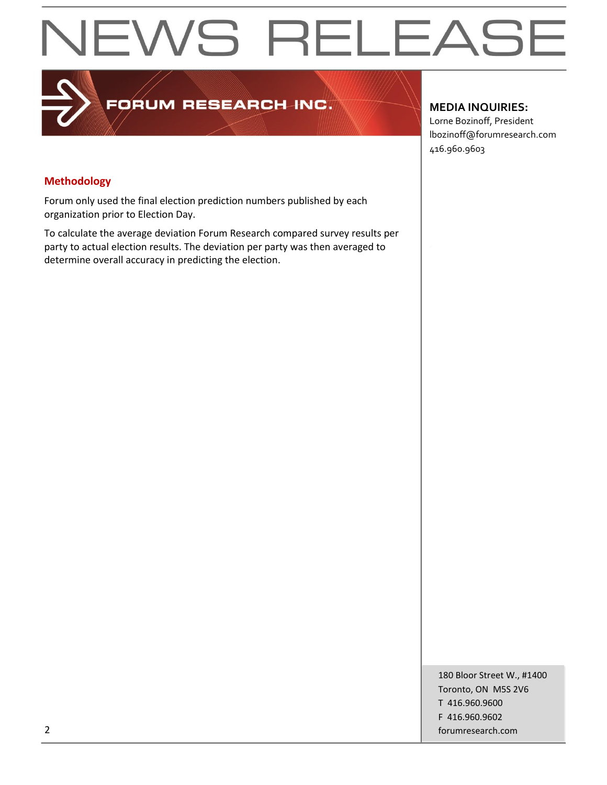## **NEWS RELEASE**

## FORUM RESEARCH-INC.

#### **MEDIA INQUIRIES:**

Lorne Bozinoff, President lbozinoff@forumresearch.com 416.960.9603

#### **Methodology**

Forum only used the final election prediction numbers published by each organization prior to Election Day.

To calculate the average deviation Forum Research compared survey results per party to actual election results. The deviation per party was then averaged to determine overall accuracy in predicting the election.

180 Bloor Street W., #1400 Toronto, ON M5S 2V6 T 416.960.9600 F 416.960.9602 2 forumresearch.com